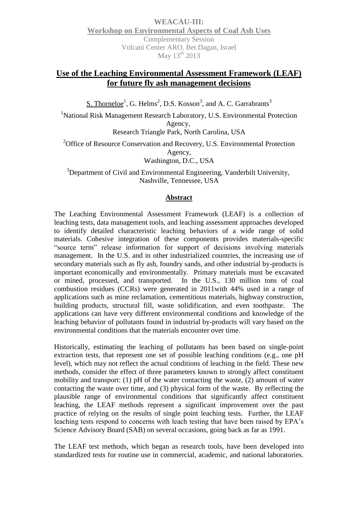# **Use of the Leaching Environmental Assessment Framework (LEAF) for future fly ash management decisions**

S. Thorneloe<sup>1</sup>, G. Helms<sup>2</sup>, D.S. Kosson<sup>3</sup>, and A. C. Garrabrants<sup>3</sup>

<sup>1</sup>National Risk Management Research Laboratory, U.S. Environmental Protection Agency, Research Triangle Park, North Carolina, USA

<sup>2</sup>Office of Resource Conservation and Recovery, U.S. Environmental Protection Agency, Washington, D.C., USA

<sup>3</sup>Department of Civil and Environmental Engineering, Vanderbilt University, Nashville, Tennessee, USA

#### **Abstract**

The Leaching Environmental Assessment Framework (LEAF) is a collection of leaching tests, data management tools, and leaching assessment approaches developed to identify detailed characteristic leaching behaviors of a wide range of solid materials. Cohesive integration of these components provides materials-specific "source term" release information for support of decisions involving materials management. In the U.S. and in other industrialized countries, the increasing use of secondary materials such as fly ash, foundry sands, and other industrial by-products is important economically and environmentally. Primary materials must be excavated or mined, processed, and transported. In the U.S., 130 million tons of coal combustion residues (CCRs) were generated in 2011with 44% used in a range of applications such as mine reclamation, cementitious materials, highway construction, building products, structural fill, waste solidification, and even toothpaste. The applications can have very different environmental conditions and knowledge of the leaching behavior of pollutants found in industrial by-products will vary based on the environmental conditions that the materials encounter over time.

Historically, estimating the leaching of pollutants has been based on single-point extraction tests, that represent one set of possible leaching conditions (e.g., one pH level), which may not reflect the actual conditions of leaching in the field. These new methods, consider the effect of three parameters known to strongly affect constituent mobility and transport: (1) pH of the water contacting the waste, (2) amount of water contacting the waste over time, and (3) physical form of the waste. By reflecting the plausible range of environmental conditions that significantly affect constituent leaching, the LEAF methods represent a significant improvement over the past practice of relying on the results of single point leaching tests. Further, the LEAF leaching tests respond to concerns with leach testing that have been raised by EPA's Science Advisory Board (SAB) on several occasions, going back as far as 1991.

The LEAF test methods, which began as research tools, have been developed into standardized tests for routine use in commercial, academic, and national laboratories.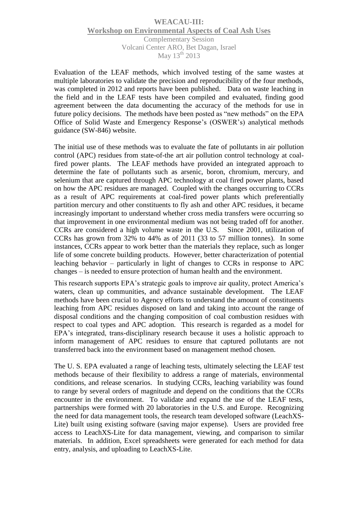Evaluation of the LEAF methods, which involved testing of the same wastes at multiple laboratories to validate the precision and reproducibility of the four methods, was completed in 2012 and reports have been published. Data on waste leaching in the field and in the LEAF tests have been compiled and evaluated, finding good agreement between the data documenting the accuracy of the methods for use in future policy decisions. The methods have been posted as "new methods" on the EPA Office of Solid Waste and Emergency Response's (OSWER's) analytical methods guidance (SW-846) website.

The initial use of these methods was to evaluate the fate of pollutants in air pollution control (APC) residues from state-of-the art air pollution control technology at coalfired power plants. The LEAF methods have provided an integrated approach to determine the fate of pollutants such as arsenic, boron, chromium, mercury, and selenium that are captured through APC technology at coal fired power plants, based on how the APC residues are managed. Coupled with the changes occurring to CCRs as a result of APC requirements at coal-fired power plants which preferentially partition mercury and other constituents to fly ash and other APC residues, it became increasingly important to understand whether cross media transfers were occurring so that improvement in one environmental medium was not being traded off for another. CCRs are considered a high volume waste in the U.S. Since 2001, utilization of CCRs has grown from 32% to 44% as of 2011 (33 to 57 million tonnes). In some instances, CCRs appear to work better than the materials they replace, such as longer life of some concrete building products. However, better characterization of potential leaching behavior – particularly in light of changes to CCRs in response to APC changes – is needed to ensure protection of human health and the environment.

This research supports EPA's strategic goals to improve air quality, protect America's waters, clean up communities, and advance sustainable development. The LEAF methods have been crucial to Agency efforts to understand the amount of constituents leaching from APC residues disposed on land and taking into account the range of disposal conditions and the changing composition of coal combustion residues with respect to coal types and APC adoption. This research is regarded as a model for EPA's integrated, trans-disciplinary research because it uses a holistic approach to inform management of APC residues to ensure that captured pollutants are not transferred back into the environment based on management method chosen.

The U. S. EPA evaluated a range of leaching tests, ultimately selecting the LEAF test methods because of their flexibility to address a range of materials, environmental conditions, and release scenarios. In studying CCRs, leaching variability was found to range by several orders of magnitude and depend on the conditions that the CCRs encounter in the environment. To validate and expand the use of the LEAF tests, partnerships were formed with 20 laboratories in the U.S. and Europe. Recognizing the need for data management tools, the research team developed software (LeachXS-Lite) built using existing software (saving major expense). Users are provided free access to LeachXS-Lite for data management, viewing, and comparison to similar materials. In addition, Excel spreadsheets were generated for each method for data entry, analysis, and uploading to LeachXS-Lite.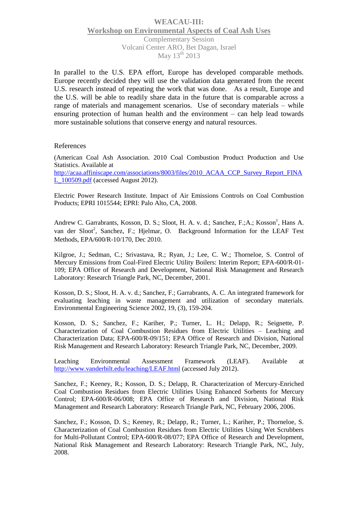In parallel to the U.S. EPA effort, Europe has developed comparable methods. Europe recently decided they will use the validation data generated from the recent U.S. research instead of repeating the work that was done. As a result, Europe and the U.S. will be able to readily share data in the future that is comparable across a range of materials and management scenarios. Use of secondary materials – while ensuring protection of human health and the environment – can help lead towards more sustainable solutions that conserve energy and natural resources.

#### References

(American Coal Ash Association. 2010 Coal Combustion Product Production and Use Statistics. Available at [http://acaa.affiniscape.com/associations/8003/files/2010\\_ACAA\\_CCP\\_Survey\\_Report\\_FINA](http://acaa.affiniscape.com/associations/8003/files/2010_ACAA_CCP_Survey_Report_FINAL_100509.pdf)

[L\\_100509.pdf](http://acaa.affiniscape.com/associations/8003/files/2010_ACAA_CCP_Survey_Report_FINAL_100509.pdf) (accessed August 2012).

Electric Power Research Institute. Impact of Air Emissions Controls on Coal Combustion Products; EPRI 1015544; EPRI: Palo Alto, CA, 2008.

Andrew C. Garrabrants, Kosson, D. S.; Sloot, H. A. v. d.; Sanchez, F.;A.; Kosson<sup>1</sup>, Hans A. van der Sloot<sup>2</sup>, Sanchez, F.; Hjelmar, O. Background Information for the LEAF Test Methods, EPA/600/R-10/170, Dec 2010.

Kilgroe, J.; Sedman, C.; Srivastava, R.; Ryan, J.; Lee, C. W.; Thorneloe, S. Control of Mercury Emissions from Coal-Fired Electric Utility Boilers: Interim Report; EPA-600/R-01- 109; EPA Office of Research and Development, National Risk Management and Research Laboratory: Research Triangle Park, NC, December, 2001.

Kosson, D. S.; Sloot, H. A. v. d.; Sanchez, F.; Garrabrants, A. C. An integrated framework for evaluating leaching in waste management and utilization of secondary materials. Environmental Engineering Science 2002, 19, (3), 159-204.

Kosson, D. S.; Sanchez, F.; Kariher, P.; Turner, L. H.; Delapp, R.; Seignette, P. Characterization of Coal Combustion Residues from Electric Utilities – Leaching and Characterization Data; EPA-600/R-09/151; EPA Office of Research and Division, National Risk Management and Research Laboratory: Research Triangle Park, NC, December, 2009.

Leaching Environmental Assessment Framework (LEAF). Available at <http://www.vanderbilt.edu/leaching/LEAF.html> (accessed July 2012).

Sanchez, F.; Keeney, R.; Kosson, D. S.; Delapp, R. Characterization of Mercury-Enriched Coal Combustion Residues from Electric Utilities Using Enhanced Sorbents for Mercury Control; EPA-600/R-06/008; EPA Office of Research and Division, National Risk Management and Research Laboratory: Research Triangle Park, NC, February 2006, 2006.

Sanchez, F.; Kosson, D. S.; Keeney, R.; Delapp, R.; Turner, L.; Kariher, P.; Thorneloe, S. Characterization of Coal Combustion Residues from Electric Utilities Using Wet Scrubbers for Multi-Pollutant Control; EPA-600/R-08/077; EPA Office of Research and Development, National Risk Management and Research Laboratory: Research Triangle Park, NC, July, 2008.